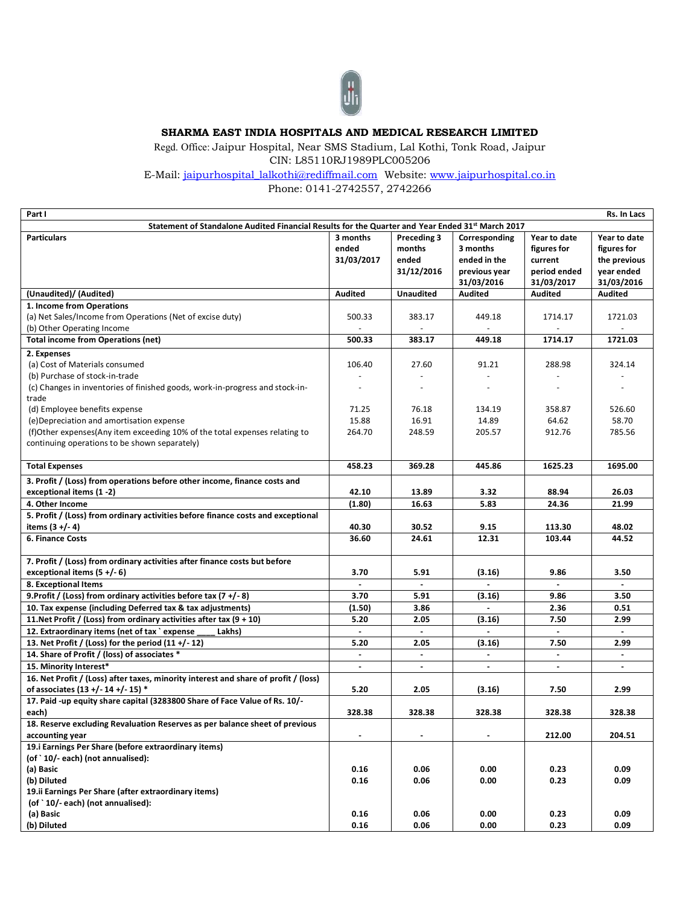

## **SHARMA EAST INDIA HOSPITALS AND MEDICAL RESEARCH LIMITED**

Regd. Office: Jaipur Hospital, Near SMS Stadium, Lal Kothi, Tonk Road, Jaipur CIN: L85110RJ1989PLC005206

E-Mail: [jaipurhospital\\_lalkothi@rediffmail.com](mailto:jaipurhospital_lalkothi@rediffmail.com) Website: [www.jaipurhospital.co.in](http://www.jaipurhospital.co.in/)  Phone: 0141-2742557, 2742266

| Part I                                                                                           |                |                  |                          |                | Rs. In Lacs    |
|--------------------------------------------------------------------------------------------------|----------------|------------------|--------------------------|----------------|----------------|
| Statement of Standalone Audited Financial Results for the Quarter and Year Ended 31st March 2017 |                |                  |                          |                |                |
| <b>Particulars</b>                                                                               | 3 months       | Preceding 3      | Corresponding            | Year to date   | Year to date   |
|                                                                                                  | ended          | months           | 3 months                 | figures for    | figures for    |
|                                                                                                  | 31/03/2017     | ended            | ended in the             | current        | the previous   |
|                                                                                                  |                | 31/12/2016       | previous year            | period ended   | year ended     |
|                                                                                                  |                |                  | 31/03/2016               | 31/03/2017     | 31/03/2016     |
|                                                                                                  | <b>Audited</b> | <b>Unaudited</b> |                          |                |                |
| (Unaudited)/ (Audited)                                                                           |                |                  | <b>Audited</b>           | <b>Audited</b> | <b>Audited</b> |
| 1. Income from Operations                                                                        |                |                  |                          |                |                |
| (a) Net Sales/Income from Operations (Net of excise duty)                                        | 500.33         | 383.17           | 449.18                   | 1714.17        | 1721.03        |
| (b) Other Operating Income                                                                       |                |                  |                          |                |                |
| <b>Total income from Operations (net)</b>                                                        | 500.33         | 383.17           | 449.18                   | 1714.17        | 1721.03        |
| 2. Expenses                                                                                      |                |                  |                          |                |                |
| (a) Cost of Materials consumed                                                                   | 106.40         | 27.60            | 91.21                    | 288.98         | 324.14         |
| (b) Purchase of stock-in-trade                                                                   |                | $\sim$           | $\overline{\phantom{a}}$ |                |                |
| (c) Changes in inventories of finished goods, work-in-progress and stock-in-                     |                | $\sim$           | $\overline{a}$           | $\sim$         |                |
| trade                                                                                            |                |                  |                          |                |                |
| (d) Employee benefits expense                                                                    | 71.25          | 76.18            | 134.19                   | 358.87         | 526.60         |
| (e) Depreciation and amortisation expense                                                        | 15.88          | 16.91            | 14.89                    | 64.62          | 58.70          |
| (f)Other expenses(Any item exceeding 10% of the total expenses relating to                       | 264.70         | 248.59           | 205.57                   | 912.76         | 785.56         |
| continuing operations to be shown separately)                                                    |                |                  |                          |                |                |
|                                                                                                  |                |                  |                          |                |                |
| <b>Total Expenses</b>                                                                            | 458.23         | 369.28           | 445.86                   | 1625.23        | 1695.00        |
| 3. Profit / (Loss) from operations before other income, finance costs and                        |                |                  |                          |                |                |
| exceptional items (1 -2)                                                                         | 42.10          | 13.89            | 3.32                     | 88.94          | 26.03          |
| 4. Other Income                                                                                  |                |                  |                          |                |                |
|                                                                                                  | (1.80)         | 16.63            | 5.83                     | 24.36          | 21.99          |
| 5. Profit / (Loss) from ordinary activities before finance costs and exceptional                 |                |                  |                          |                |                |
| items $(3 + (-4))$                                                                               | 40.30          | 30.52            | 9.15                     | 113.30         | 48.02          |
| 6. Finance Costs                                                                                 | 36.60          | 24.61            | 12.31                    | 103.44         | 44.52          |
|                                                                                                  |                |                  |                          |                |                |
| 7. Profit / (Loss) from ordinary activities after finance costs but before                       |                |                  |                          |                |                |
| exceptional items $(5 + (-6))$                                                                   | 3.70           | 5.91             | (3.16)                   | 9.86           | 3.50           |
| 8. Exceptional Items                                                                             |                | $\omega$         |                          | $\blacksquare$ | $\blacksquare$ |
| 9. Profit / (Loss) from ordinary activities before tax $(7 + (-8))$                              | 3.70           | 5.91             | (3.16)                   | 9.86           | 3.50           |
| 10. Tax expense (including Deferred tax & tax adjustments)                                       | (1.50)         | 3.86             |                          | 2.36           | 0.51           |
| 11. Net Profit / (Loss) from ordinary activities after tax $(9 + 10)$                            | 5.20           | 2.05             | (3.16)                   | 7.50           | 2.99           |
| 12. Extraordinary items (net of tax `expense<br>Lakhs)                                           |                |                  |                          |                |                |
| 13. Net Profit / (Loss) for the period (11 +/-12)                                                | 5.20           | 2.05             | (3.16)                   | 7.50           | 2.99           |
| 14. Share of Profit / (loss) of associates *                                                     |                |                  |                          |                |                |
| 15. Minority Interest*                                                                           | $\blacksquare$ | $\blacksquare$   | $\blacksquare$           | $\blacksquare$ | $\blacksquare$ |
| 16. Net Profit / (Loss) after taxes, minority interest and share of profit / (loss)              |                |                  |                          |                |                |
| of associates (13 +/- 14 +/- 15) *                                                               | 5.20           | 2.05             | (3.16)                   | 7.50           | 2.99           |
| 17. Paid -up equity share capital (3283800 Share of Face Value of Rs. 10/-                       |                |                  |                          |                |                |
| each)                                                                                            | 328.38         | 328.38           | 328.38                   | 328.38         | 328.38         |
| 18. Reserve excluding Revaluation Reserves as per balance sheet of previous                      |                |                  |                          |                |                |
| accounting year                                                                                  | $\blacksquare$ | $\sim$           | $\blacksquare$           | 212.00         | 204.51         |
| 19.i Earnings Per Share (before extraordinary items)                                             |                |                  |                          |                |                |
| (of `10/- each) (not annualised):                                                                |                |                  |                          |                |                |
| (a) Basic                                                                                        | 0.16           | 0.06             | 0.00                     | 0.23           | 0.09           |
| (b) Diluted                                                                                      | 0.16           | 0.06             | 0.00                     | 0.23           | 0.09           |
| 19.ii Earnings Per Share (after extraordinary items)                                             |                |                  |                          |                |                |
| (of `10/-each) (not annualised):                                                                 |                |                  |                          |                |                |
| (a) Basic                                                                                        | 0.16           | 0.06             | 0.00                     | 0.23           | 0.09           |
| (b) Diluted                                                                                      | 0.16           | 0.06             | 0.00                     | 0.23           | 0.09           |
|                                                                                                  |                |                  |                          |                |                |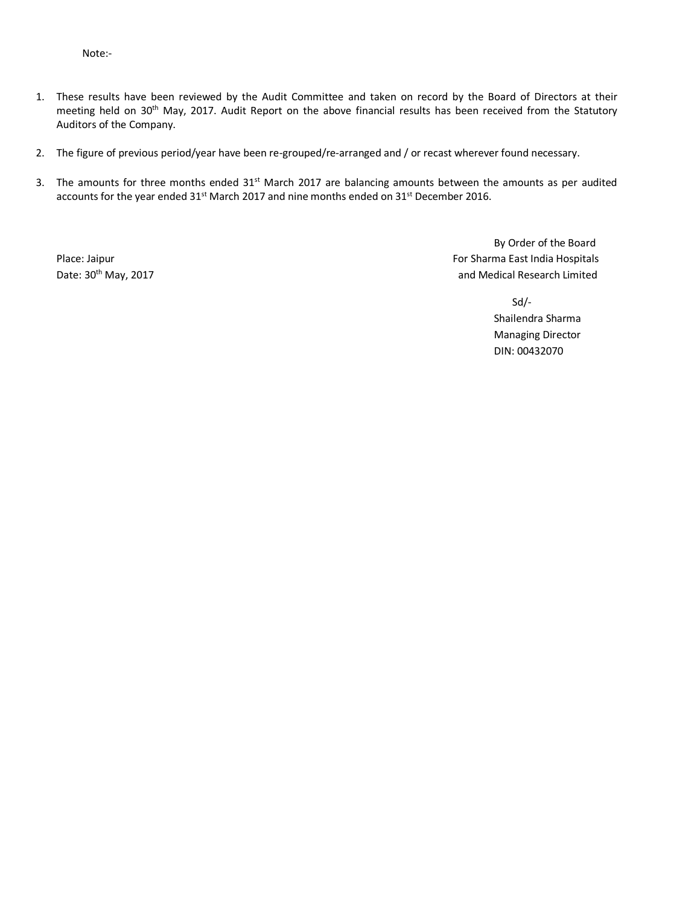Note:-

- 1. These results have been reviewed by the Audit Committee and taken on record by the Board of Directors at their meeting held on 30<sup>th</sup> May, 2017. Audit Report on the above financial results has been received from the Statutory Auditors of the Company.
- 2. The figure of previous period/year have been re-grouped/re-arranged and / or recast wherever found necessary.
- 3. The amounts for three months ended 31<sup>st</sup> March 2017 are balancing amounts between the amounts as per audited accounts for the year ended 31<sup>st</sup> March 2017 and nine months ended on 31<sup>st</sup> December 2016.

By Order of the Board Place: Jaipur For Sharma East India Hospitals Date: 30<sup>th</sup> May, 2017 **and Medical Research Limited** by a manufacture of the search and Medical Research Limited

> Sd/- Shailendra Sharma Managing Director DIN: 00432070